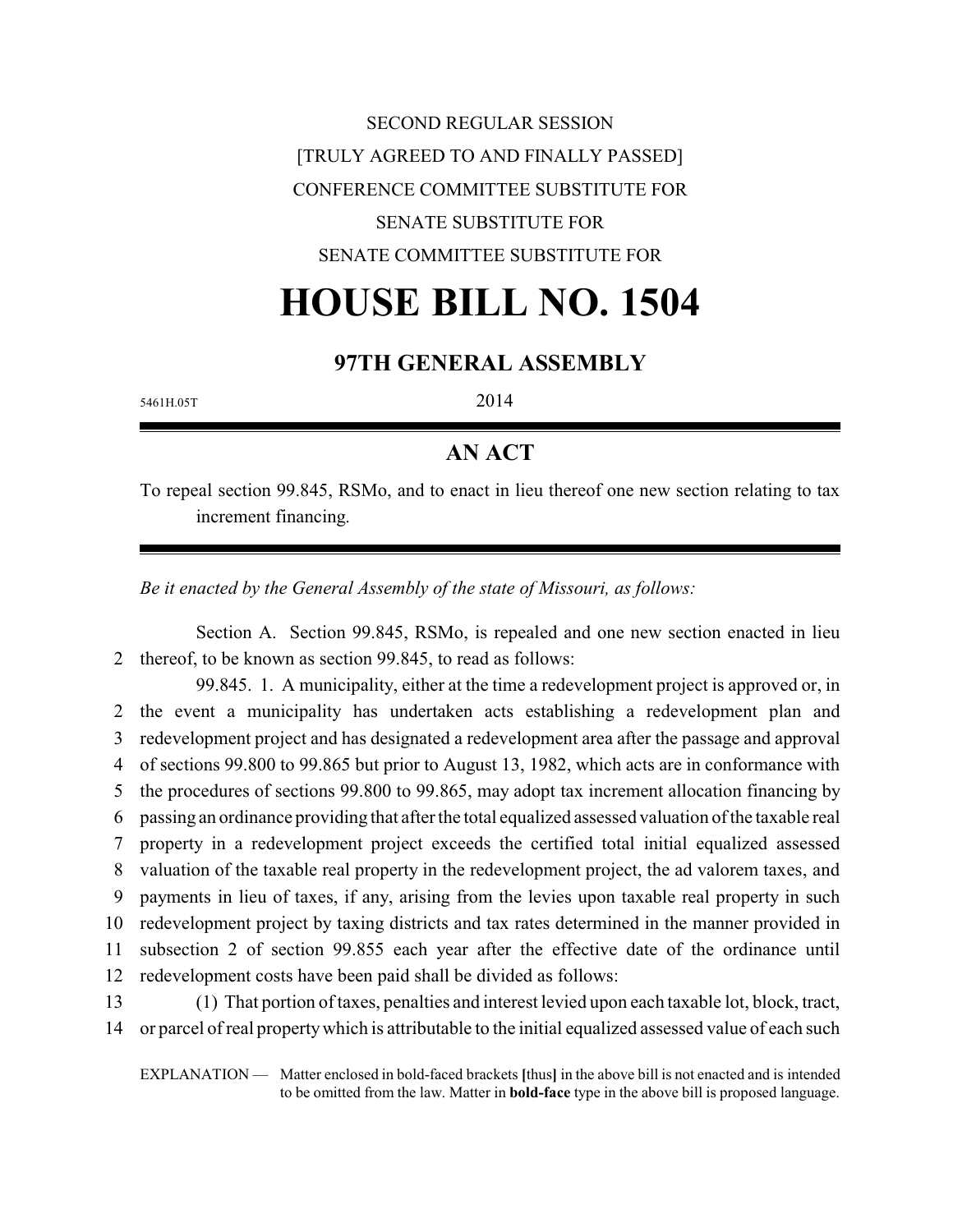SECOND REGULAR SESSION [TRULY AGREED TO AND FINALLY PASSED] CONFERENCE COMMITTEE SUBSTITUTE FOR SENATE SUBSTITUTE FOR SENATE COMMITTEE SUBSTITUTE FOR

# **HOUSE BILL NO. 1504**

### **97TH GENERAL ASSEMBLY**

5461H.05T 2014

## **AN ACT**

To repeal section 99.845, RSMo, and to enact in lieu thereof one new section relating to tax increment financing.

*Be it enacted by the General Assembly of the state of Missouri, as follows:*

Section A. Section 99.845, RSMo, is repealed and one new section enacted in lieu 2 thereof, to be known as section 99.845, to read as follows:

99.845. 1. A municipality, either at the time a redevelopment project is approved or, in the event a municipality has undertaken acts establishing a redevelopment plan and redevelopment project and has designated a redevelopment area after the passage and approval of sections 99.800 to 99.865 but prior to August 13, 1982, which acts are in conformance with the procedures of sections 99.800 to 99.865, may adopt tax increment allocation financing by passing an ordinance providing that after the total equalized assessed valuation of the taxable real property in a redevelopment project exceeds the certified total initial equalized assessed valuation of the taxable real property in the redevelopment project, the ad valorem taxes, and payments in lieu of taxes, if any, arising from the levies upon taxable real property in such redevelopment project by taxing districts and tax rates determined in the manner provided in subsection 2 of section 99.855 each year after the effective date of the ordinance until redevelopment costs have been paid shall be divided as follows: (1) That portion of taxes, penalties and interest levied upon each taxable lot, block, tract,

14 or parcel of real propertywhich is attributable to the initial equalized assessed value of each such

EXPLANATION — Matter enclosed in bold-faced brackets **[**thus**]** in the above bill is not enacted and is intended to be omitted from the law. Matter in **bold-face** type in the above bill is proposed language.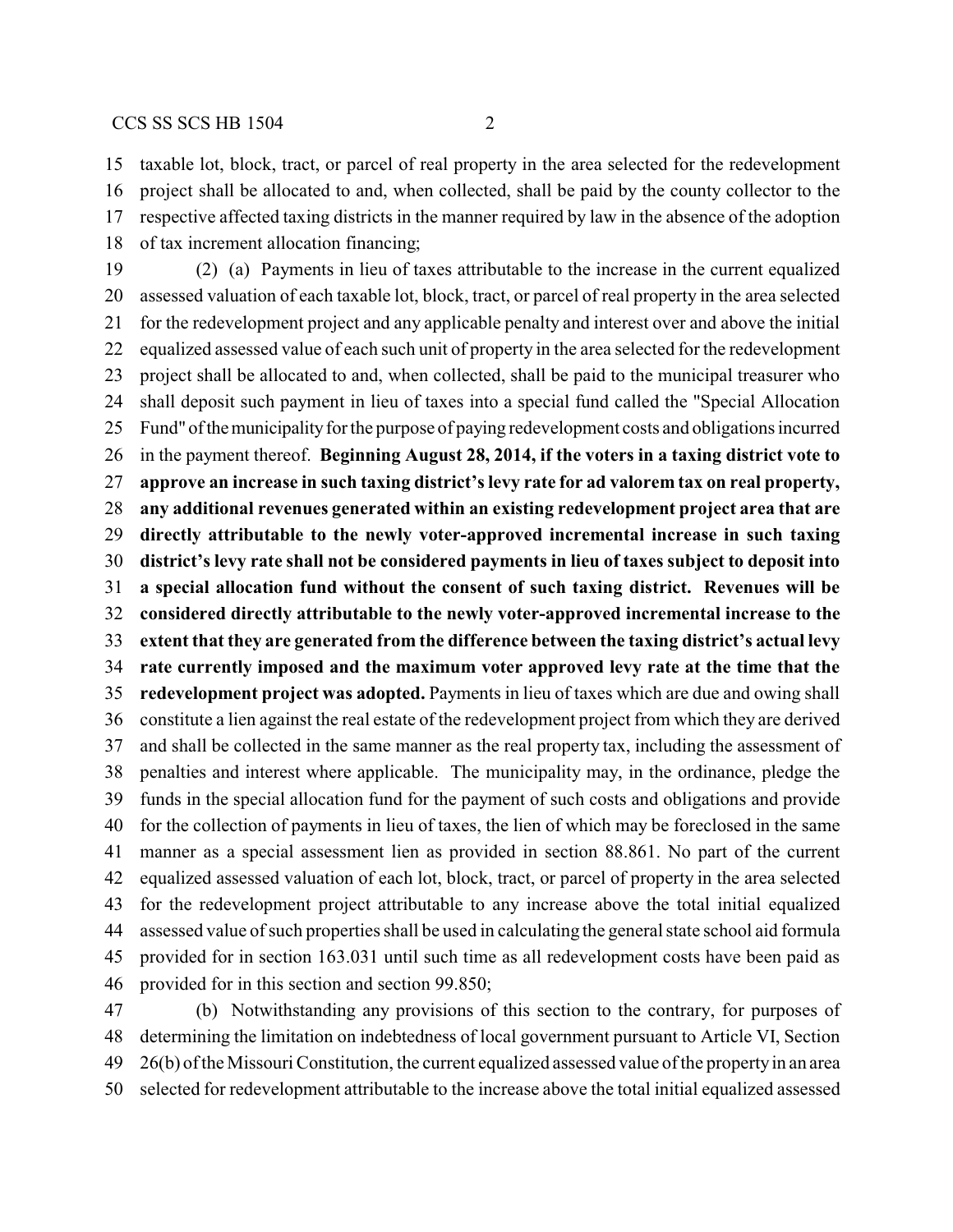taxable lot, block, tract, or parcel of real property in the area selected for the redevelopment project shall be allocated to and, when collected, shall be paid by the county collector to the respective affected taxing districts in the manner required by law in the absence of the adoption of tax increment allocation financing;

 (2) (a) Payments in lieu of taxes attributable to the increase in the current equalized assessed valuation of each taxable lot, block, tract, or parcel of real property in the area selected for the redevelopment project and any applicable penalty and interest over and above the initial equalized assessed value of each such unit of property in the area selected for the redevelopment project shall be allocated to and, when collected, shall be paid to the municipal treasurer who shall deposit such payment in lieu of taxes into a special fund called the "Special Allocation Fund" ofthemunicipalityfor the purpose of paying redevelopment costs and obligations incurred in the payment thereof. **Beginning August 28, 2014, if the voters in a taxing district vote to approve an increase in such taxing district's levy rate for ad valorem tax on real property, any additional revenues generated within an existing redevelopment project area that are directly attributable to the newly voter-approved incremental increase in such taxing district's levy rate shall not be considered payments in lieu of taxes subject to deposit into a special allocation fund without the consent of such taxing district. Revenues will be considered directly attributable to the newly voter-approved incremental increase to the extent that they are generated from the difference between the taxing district's actual levy rate currently imposed and the maximum voter approved levy rate at the time that the redevelopment project was adopted.** Payments in lieu of taxes which are due and owing shall constitute a lien against the real estate of the redevelopment project from which they are derived and shall be collected in the same manner as the real property tax, including the assessment of penalties and interest where applicable. The municipality may, in the ordinance, pledge the funds in the special allocation fund for the payment of such costs and obligations and provide for the collection of payments in lieu of taxes, the lien of which may be foreclosed in the same manner as a special assessment lien as provided in section 88.861. No part of the current equalized assessed valuation of each lot, block, tract, or parcel of property in the area selected for the redevelopment project attributable to any increase above the total initial equalized assessed value of such properties shall be used in calculating the general state school aid formula provided for in section 163.031 until such time as all redevelopment costs have been paid as provided for in this section and section 99.850;

 (b) Notwithstanding any provisions of this section to the contrary, for purposes of determining the limitation on indebtedness of local government pursuant to Article VI, Section 26(b) of the Missouri Constitution, the current equalized assessed value of the propertyin an area selected for redevelopment attributable to the increase above the total initial equalized assessed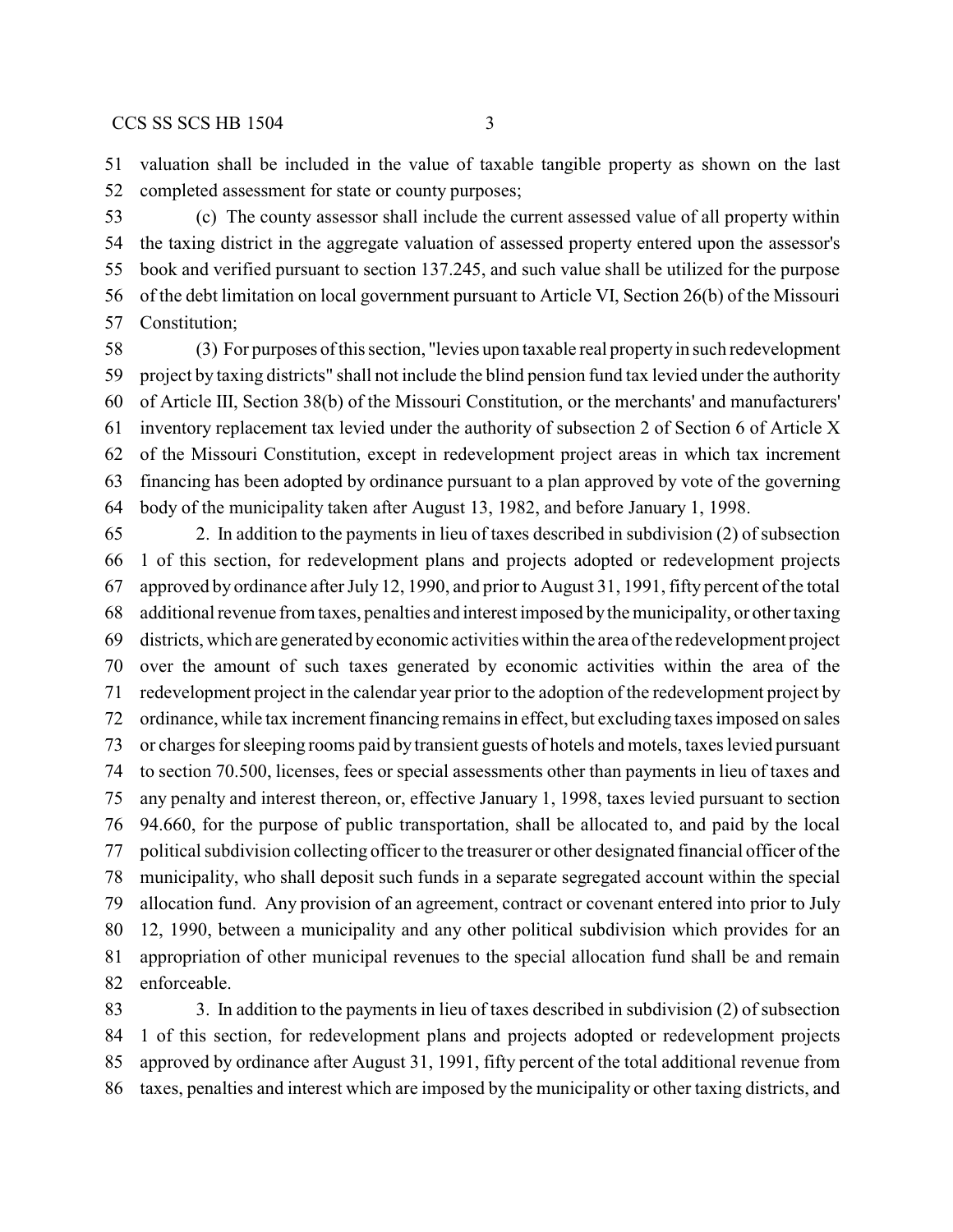valuation shall be included in the value of taxable tangible property as shown on the last completed assessment for state or county purposes;

 (c) The county assessor shall include the current assessed value of all property within the taxing district in the aggregate valuation of assessed property entered upon the assessor's book and verified pursuant to section 137.245, and such value shall be utilized for the purpose of the debt limitation on local government pursuant to Article VI, Section 26(b) of the Missouri Constitution;

 (3) For purposes of this section, "levies upon taxable real propertyin such redevelopment project by taxing districts" shall not include the blind pension fund tax levied under the authority of Article III, Section 38(b) of the Missouri Constitution, or the merchants' and manufacturers' inventory replacement tax levied under the authority of subsection 2 of Section 6 of Article X of the Missouri Constitution, except in redevelopment project areas in which tax increment financing has been adopted by ordinance pursuant to a plan approved by vote of the governing body of the municipality taken after August 13, 1982, and before January 1, 1998.

 2. In addition to the payments in lieu of taxes described in subdivision (2) of subsection 1 of this section, for redevelopment plans and projects adopted or redevelopment projects approved by ordinance after July 12, 1990, and prior to August 31, 1991, fifty percent of the total additional revenue from taxes, penalties and interest imposed bythe municipality, or other taxing districts, which are generated byeconomic activities within the area of the redevelopment project over the amount of such taxes generated by economic activities within the area of the redevelopment project in the calendar year prior to the adoption of the redevelopment project by ordinance, while tax increment financing remains in effect, but excluding taxes imposed on sales or charges for sleeping rooms paid bytransient guests of hotels and motels, taxes levied pursuant to section 70.500, licenses, fees or special assessments other than payments in lieu of taxes and any penalty and interest thereon, or, effective January 1, 1998, taxes levied pursuant to section 94.660, for the purpose of public transportation, shall be allocated to, and paid by the local political subdivision collecting officer to the treasurer or other designated financial officer of the municipality, who shall deposit such funds in a separate segregated account within the special allocation fund. Any provision of an agreement, contract or covenant entered into prior to July 12, 1990, between a municipality and any other political subdivision which provides for an appropriation of other municipal revenues to the special allocation fund shall be and remain enforceable.

 3. In addition to the payments in lieu of taxes described in subdivision (2) of subsection 1 of this section, for redevelopment plans and projects adopted or redevelopment projects approved by ordinance after August 31, 1991, fifty percent of the total additional revenue from taxes, penalties and interest which are imposed by the municipality or other taxing districts, and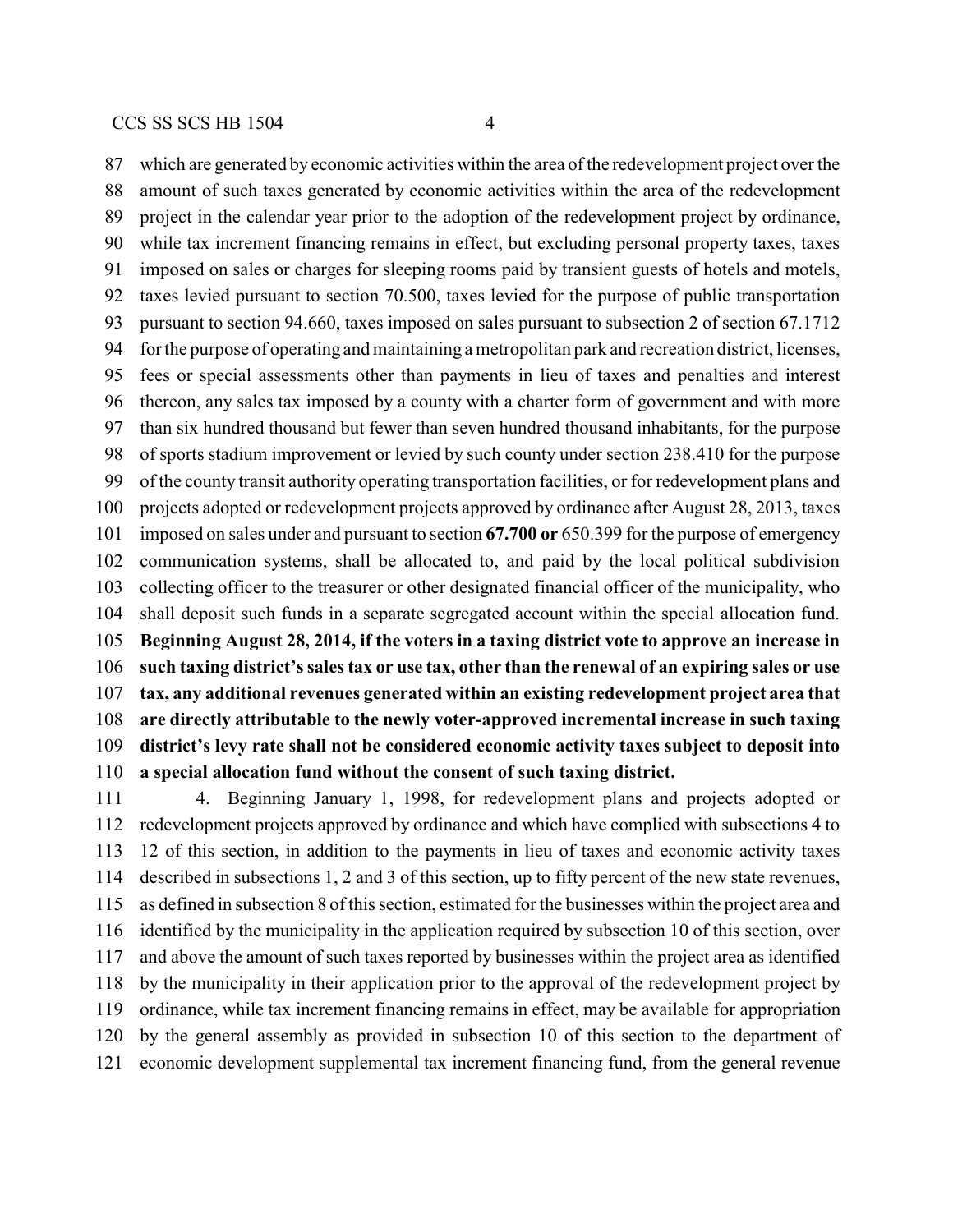which are generated by economic activities within the area of the redevelopment project over the amount of such taxes generated by economic activities within the area of the redevelopment project in the calendar year prior to the adoption of the redevelopment project by ordinance, while tax increment financing remains in effect, but excluding personal property taxes, taxes imposed on sales or charges for sleeping rooms paid by transient guests of hotels and motels, taxes levied pursuant to section 70.500, taxes levied for the purpose of public transportation pursuant to section 94.660, taxes imposed on sales pursuant to subsection 2 of section 67.1712 for the purpose of operating and maintaining a metropolitan park and recreation district, licenses, fees or special assessments other than payments in lieu of taxes and penalties and interest thereon, any sales tax imposed by a county with a charter form of government and with more than six hundred thousand but fewer than seven hundred thousand inhabitants, for the purpose of sports stadium improvement or levied by such county under section 238.410 for the purpose of the county transit authority operating transportation facilities, or for redevelopment plans and projects adopted or redevelopment projects approved by ordinance after August 28, 2013, taxes imposed on sales under and pursuant to section **67.700 or** 650.399 for the purpose of emergency communication systems, shall be allocated to, and paid by the local political subdivision collecting officer to the treasurer or other designated financial officer of the municipality, who shall deposit such funds in a separate segregated account within the special allocation fund. **Beginning August 28, 2014, if the voters in a taxing district vote to approve an increase in such taxing district's sales tax or use tax, other than the renewal of an expiring sales or use tax, any additional revenues generated within an existing redevelopment project area that**

 **are directly attributable to the newly voter-approved incremental increase in such taxing district's levy rate shall not be considered economic activity taxes subject to deposit into a special allocation fund without the consent of such taxing district.**

 4. Beginning January 1, 1998, for redevelopment plans and projects adopted or redevelopment projects approved by ordinance and which have complied with subsections 4 to 12 of this section, in addition to the payments in lieu of taxes and economic activity taxes described in subsections 1, 2 and 3 of this section, up to fifty percent of the new state revenues, as defined in subsection 8 of this section, estimated for the businesses within the project area and identified by the municipality in the application required by subsection 10 of this section, over and above the amount of such taxes reported by businesses within the project area as identified by the municipality in their application prior to the approval of the redevelopment project by ordinance, while tax increment financing remains in effect, may be available for appropriation by the general assembly as provided in subsection 10 of this section to the department of economic development supplemental tax increment financing fund, from the general revenue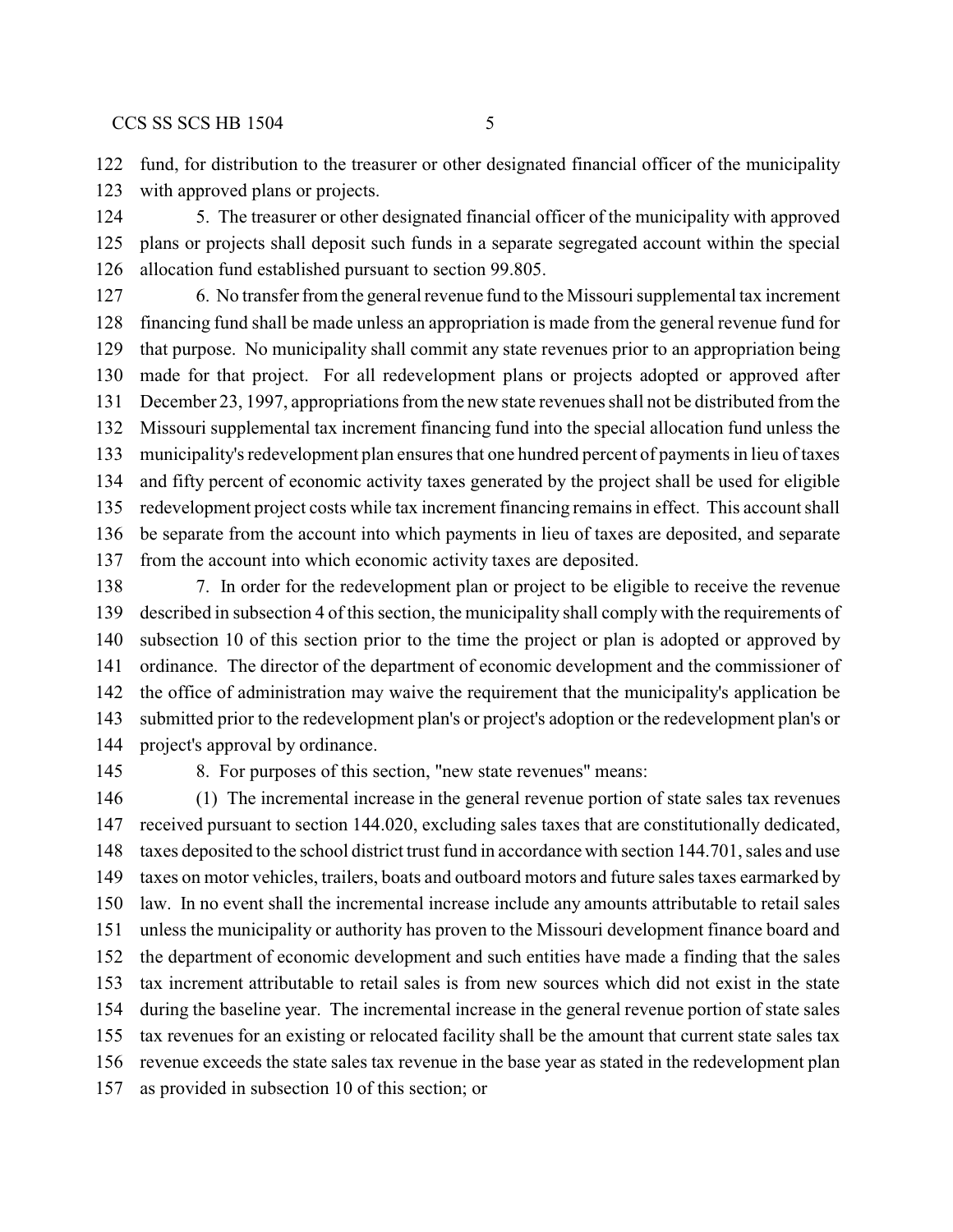fund, for distribution to the treasurer or other designated financial officer of the municipality with approved plans or projects.

 5. The treasurer or other designated financial officer of the municipality with approved plans or projects shall deposit such funds in a separate segregated account within the special allocation fund established pursuant to section 99.805.

 6. No transfer from the general revenue fund to the Missouri supplemental tax increment financing fund shall be made unless an appropriation is made from the general revenue fund for that purpose. No municipality shall commit any state revenues prior to an appropriation being made for that project. For all redevelopment plans or projects adopted or approved after December 23, 1997, appropriations from the new state revenues shall not be distributed from the Missouri supplemental tax increment financing fund into the special allocation fund unless the municipality's redevelopment plan ensures that one hundred percent of payments in lieu of taxes and fifty percent of economic activity taxes generated by the project shall be used for eligible redevelopment project costs while tax increment financing remains in effect. This account shall be separate from the account into which payments in lieu of taxes are deposited, and separate from the account into which economic activity taxes are deposited.

 7. In order for the redevelopment plan or project to be eligible to receive the revenue described in subsection 4 of this section, the municipality shall comply with the requirements of subsection 10 of this section prior to the time the project or plan is adopted or approved by ordinance. The director of the department of economic development and the commissioner of the office of administration may waive the requirement that the municipality's application be submitted prior to the redevelopment plan's or project's adoption or the redevelopment plan's or project's approval by ordinance.

8. For purposes of this section, "new state revenues" means:

 (1) The incremental increase in the general revenue portion of state sales tax revenues received pursuant to section 144.020, excluding sales taxes that are constitutionally dedicated, taxes deposited to the school district trust fund in accordance with section 144.701, sales and use taxes on motor vehicles, trailers, boats and outboard motors and future sales taxes earmarked by law. In no event shall the incremental increase include any amounts attributable to retail sales unless the municipality or authority has proven to the Missouri development finance board and the department of economic development and such entities have made a finding that the sales tax increment attributable to retail sales is from new sources which did not exist in the state during the baseline year. The incremental increase in the general revenue portion of state sales tax revenues for an existing or relocated facility shall be the amount that current state sales tax revenue exceeds the state sales tax revenue in the base year as stated in the redevelopment plan as provided in subsection 10 of this section; or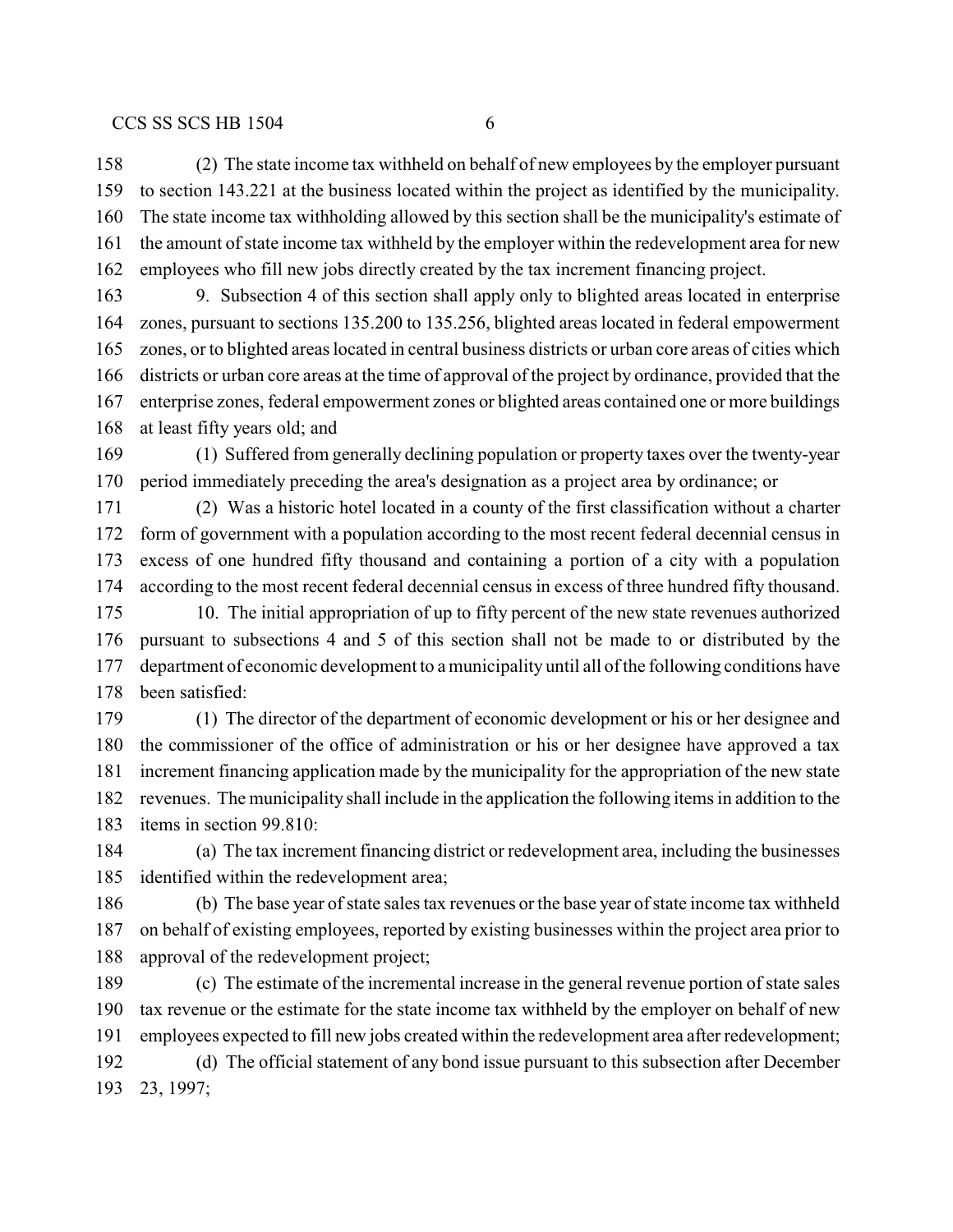(2) The state income tax withheld on behalf of new employees by the employer pursuant to section 143.221 at the business located within the project as identified by the municipality. The state income tax withholding allowed by this section shall be the municipality's estimate of the amount of state income tax withheld by the employer within the redevelopment area for new employees who fill new jobs directly created by the tax increment financing project.

 9. Subsection 4 of this section shall apply only to blighted areas located in enterprise zones, pursuant to sections 135.200 to 135.256, blighted areas located in federal empowerment zones, or to blighted areas located in central business districts or urban core areas of cities which districts or urban core areas at the time of approval of the project by ordinance, provided that the enterprise zones, federal empowerment zones or blighted areas contained one or more buildings at least fifty years old; and

 (1) Suffered from generally declining population or property taxes over the twenty-year period immediately preceding the area's designation as a project area by ordinance; or

 (2) Was a historic hotel located in a county of the first classification without a charter form of government with a population according to the most recent federal decennial census in excess of one hundred fifty thousand and containing a portion of a city with a population according to the most recent federal decennial census in excess of three hundred fifty thousand. 10. The initial appropriation of up to fifty percent of the new state revenues authorized

 pursuant to subsections 4 and 5 of this section shall not be made to or distributed by the department of economic development to a municipality until all of the following conditions have been satisfied:

 (1) The director of the department of economic development or his or her designee and the commissioner of the office of administration or his or her designee have approved a tax increment financing application made by the municipality for the appropriation of the new state revenues. The municipality shall include in the application the following items in addition to the items in section 99.810:

 (a) The tax increment financing district or redevelopment area, including the businesses identified within the redevelopment area;

 (b) The base year of state sales tax revenues or the base year of state income tax withheld on behalf of existing employees, reported by existing businesses within the project area prior to approval of the redevelopment project;

 (c) The estimate of the incremental increase in the general revenue portion of state sales tax revenue or the estimate for the state income tax withheld by the employer on behalf of new employees expected to fill new jobs created within the redevelopment area after redevelopment; (d) The official statement of any bond issue pursuant to this subsection after December 23, 1997;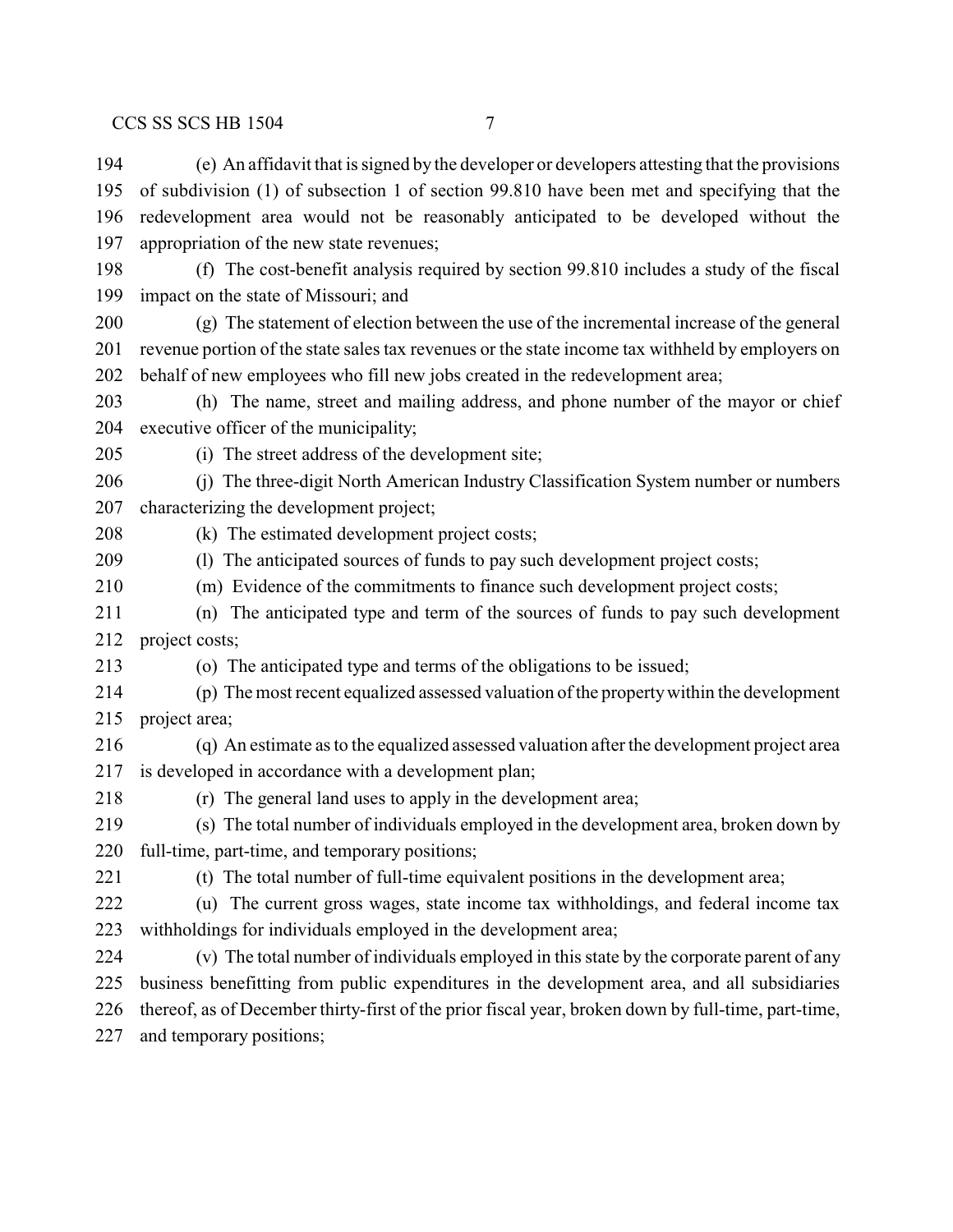(e) An affidavit that is signed by the developer or developers attesting that the provisions

 of subdivision (1) of subsection 1 of section 99.810 have been met and specifying that the redevelopment area would not be reasonably anticipated to be developed without the appropriation of the new state revenues; (f) The cost-benefit analysis required by section 99.810 includes a study of the fiscal impact on the state of Missouri; and (g) The statement of election between the use of the incremental increase of the general revenue portion of the state sales tax revenues or the state income tax withheld by employers on behalf of new employees who fill new jobs created in the redevelopment area; (h) The name, street and mailing address, and phone number of the mayor or chief executive officer of the municipality; (i) The street address of the development site; (j) The three-digit North American Industry Classification System number or numbers characterizing the development project; (k) The estimated development project costs;

(l) The anticipated sources of funds to pay such development project costs;

(m) Evidence of the commitments to finance such development project costs;

 (n) The anticipated type and term of the sources of funds to pay such development project costs;

- (o) The anticipated type and terms of the obligations to be issued;
- (p) The most recent equalized assessed valuation of the propertywithin the development project area;
- (q) An estimate as to the equalized assessed valuation after the development project area is developed in accordance with a development plan;

(r) The general land uses to apply in the development area;

 (s) The total number of individuals employed in the development area, broken down by full-time, part-time, and temporary positions;

(t) The total number of full-time equivalent positions in the development area;

 (u) The current gross wages, state income tax withholdings, and federal income tax withholdings for individuals employed in the development area;

 (v) The total number of individuals employed in this state by the corporate parent of any business benefitting from public expenditures in the development area, and all subsidiaries thereof, as of December thirty-first of the prior fiscal year, broken down by full-time, part-time, and temporary positions;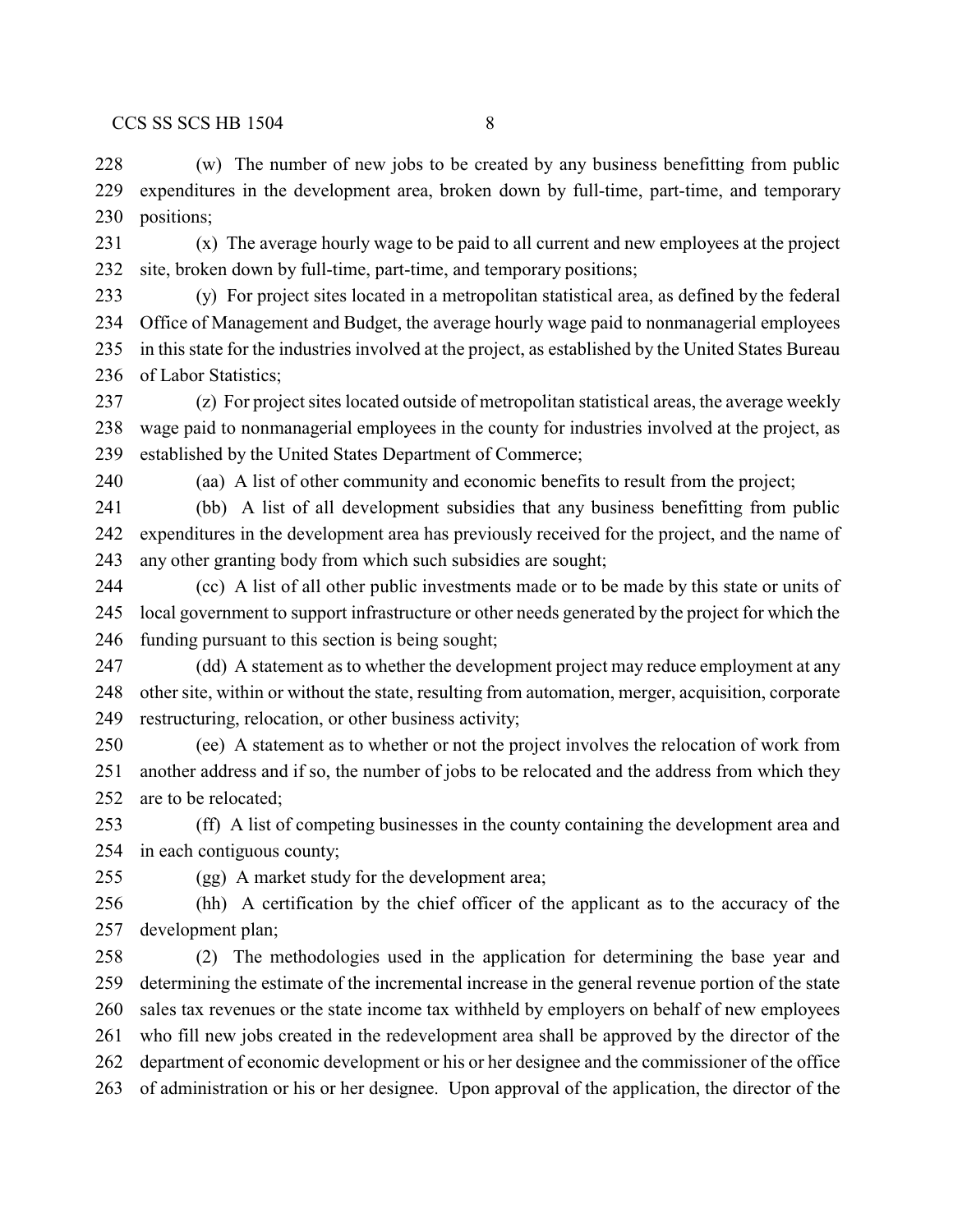(w) The number of new jobs to be created by any business benefitting from public expenditures in the development area, broken down by full-time, part-time, and temporary positions;

 (x) The average hourly wage to be paid to all current and new employees at the project site, broken down by full-time, part-time, and temporary positions;

 (y) For project sites located in a metropolitan statistical area, as defined by the federal Office of Management and Budget, the average hourly wage paid to nonmanagerial employees in this state for the industries involved at the project, as established by the United States Bureau of Labor Statistics;

 (z) For project sites located outside of metropolitan statistical areas, the average weekly wage paid to nonmanagerial employees in the county for industries involved at the project, as established by the United States Department of Commerce;

(aa) A list of other community and economic benefits to result from the project;

 (bb) A list of all development subsidies that any business benefitting from public expenditures in the development area has previously received for the project, and the name of any other granting body from which such subsidies are sought;

 (cc) A list of all other public investments made or to be made by this state or units of local government to support infrastructure or other needs generated by the project for which the funding pursuant to this section is being sought;

 (dd) A statement as to whether the development project may reduce employment at any other site, within or without the state, resulting from automation, merger, acquisition, corporate restructuring, relocation, or other business activity;

 (ee) A statement as to whether or not the project involves the relocation of work from another address and if so, the number of jobs to be relocated and the address from which they 252 are to be relocated:

 (ff) A list of competing businesses in the county containing the development area and in each contiguous county;

(gg) A market study for the development area;

 (hh) A certification by the chief officer of the applicant as to the accuracy of the development plan;

 (2) The methodologies used in the application for determining the base year and determining the estimate of the incremental increase in the general revenue portion of the state sales tax revenues or the state income tax withheld by employers on behalf of new employees who fill new jobs created in the redevelopment area shall be approved by the director of the department of economic development or his or her designee and the commissioner of the office of administration or his or her designee. Upon approval of the application, the director of the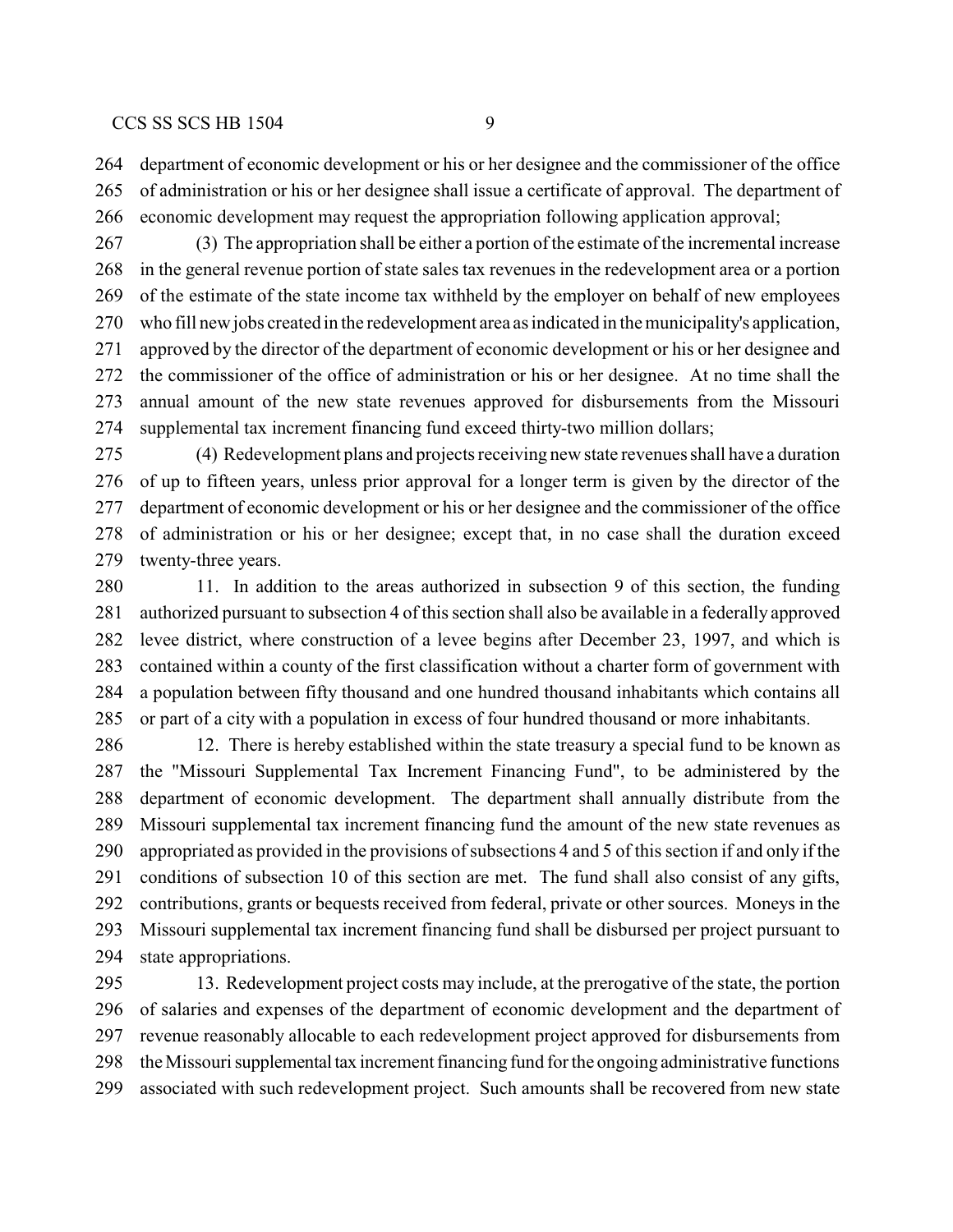department of economic development or his or her designee and the commissioner of the office of administration or his or her designee shall issue a certificate of approval. The department of economic development may request the appropriation following application approval;

 (3) The appropriation shall be either a portion of the estimate of the incremental increase in the general revenue portion of state sales tax revenues in the redevelopment area or a portion of the estimate of the state income tax withheld by the employer on behalf of new employees who fill new jobs created in the redevelopment area as indicated in the municipality's application, approved by the director of the department of economic development or his or her designee and the commissioner of the office of administration or his or her designee. At no time shall the annual amount of the new state revenues approved for disbursements from the Missouri supplemental tax increment financing fund exceed thirty-two million dollars;

 (4) Redevelopment plans and projects receiving new state revenues shall have a duration of up to fifteen years, unless prior approval for a longer term is given by the director of the department of economic development or his or her designee and the commissioner of the office of administration or his or her designee; except that, in no case shall the duration exceed twenty-three years.

 11. In addition to the areas authorized in subsection 9 of this section, the funding authorized pursuant to subsection 4 of this section shall also be available in a federally approved levee district, where construction of a levee begins after December 23, 1997, and which is contained within a county of the first classification without a charter form of government with a population between fifty thousand and one hundred thousand inhabitants which contains all or part of a city with a population in excess of four hundred thousand or more inhabitants.

 12. There is hereby established within the state treasury a special fund to be known as the "Missouri Supplemental Tax Increment Financing Fund", to be administered by the department of economic development. The department shall annually distribute from the Missouri supplemental tax increment financing fund the amount of the new state revenues as appropriated as provided in the provisions of subsections 4 and 5 of this section if and only if the conditions of subsection 10 of this section are met. The fund shall also consist of any gifts, contributions, grants or bequests received from federal, private or other sources. Moneys in the Missouri supplemental tax increment financing fund shall be disbursed per project pursuant to state appropriations.

 13. Redevelopment project costs may include, at the prerogative of the state, the portion of salaries and expenses of the department of economic development and the department of revenue reasonably allocable to each redevelopment project approved for disbursements from the Missouri supplemental tax increment financing fund for the ongoing administrative functions associated with such redevelopment project. Such amounts shall be recovered from new state